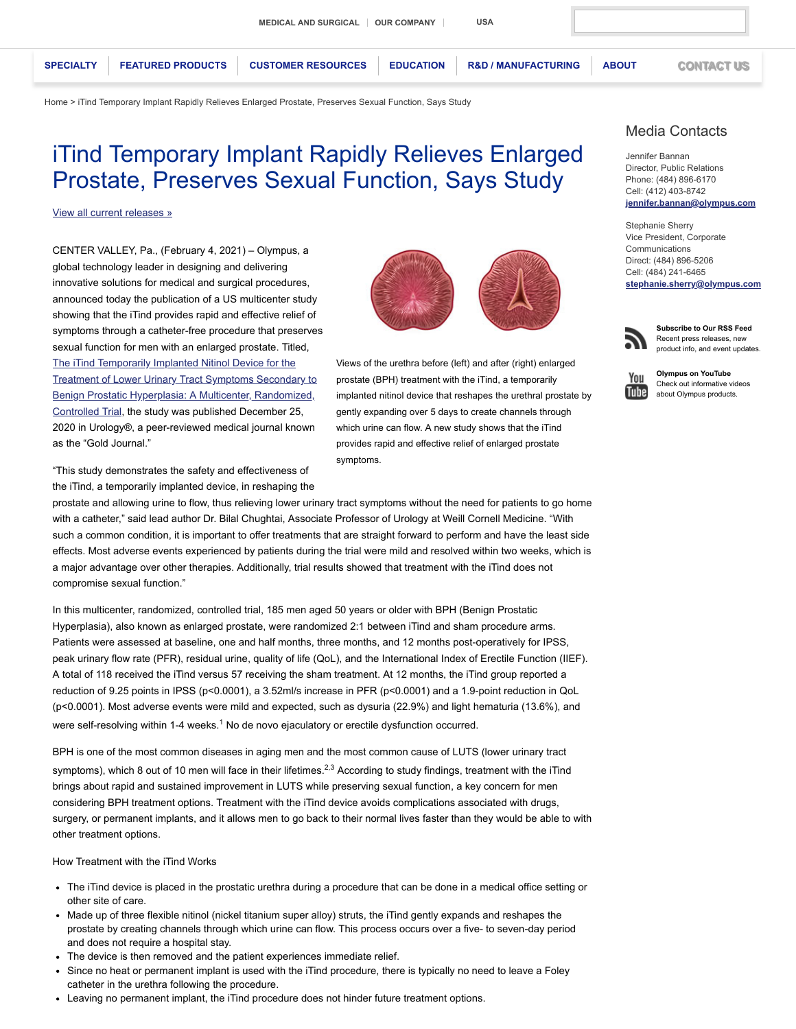**[SPECIALTY](https://medical.olympusamerica.com/specialties) [FEATURED PRODUCTS](https://medical.olympusamerica.com/products) [CUSTOMER RESOURCES](https://medical.olympusamerica.com/customer-resources) [EDUCATION](https://continuum.olympusprofed.com/) [R&D / MANUFACTURING](https://medical.olympusamerica.com/olympus-surgical-technologies-america) [ABOUT](https://medical.olympusamerica.com/about) [CONTACT US](https://medical.olympusamerica.com/content/contact-olympus-america)**

[Home](https://medical.olympusamerica.com/) > iTind Temporary Implant Rapidly Relieves Enlarged Prostate, Preserves Sexual Function, Says Study

# iTind Temporary Implant Rapidly Relieves Enlarged Prostate, Preserves Sexual Function, Says Study

[View all current releases »](https://medical.olympusamerica.com/about/press-center/press-releases)

CENTER VALLEY, Pa., (February 4, 2021) – Olympus, a global technology leader in designing and delivering innovative solutions for medical and surgical procedures, announced today the publication of a US multicenter study showing that the iTind provides rapid and effective relief of symptoms through a catheter-free procedure that preserves sexual function for men with an enlarged prostate. Titled, The iTind Temporarily Implanted Nitinol Device for the **[Treatment of Lower Urinary Tract Symptoms Secondary to](https://www.goldjournal.net/article/S0090-4295(20)31520-X/fulltext)** Benign Prostatic Hyperplasia: A Multicenter, Randomized, Controlled Trial, the study was published December 25, 2020 in Urology®, a peer-reviewed medical journal known as the "Gold Journal."

"This study demonstrates the safety and effectiveness of the iTind, a temporarily implanted device, in reshaping the

prostate and allowing urine to flow, thus relieving lower urinary tract symptoms without the need for patients to go home with a catheter," said lead author Dr. Bilal Chughtai, Associate Professor of Urology at Weill Cornell Medicine. "With such a common condition, it is important to offer treatments that are straight forward to perform and have the least side effects. Most adverse events experienced by patients during the trial were mild and resolved within two weeks, which is a major advantage over other therapies. Additionally, trial results showed that treatment with the iTind does not compromise sexual function."

In this multicenter, randomized, controlled trial, 185 men aged 50 years or older with BPH (Benign Prostatic Hyperplasia), also known as enlarged prostate, were randomized 2:1 between iTind and sham procedure arms. Patients were assessed at baseline, one and half months, three months, and 12 months post-operatively for IPSS, peak urinary flow rate (PFR), residual urine, quality of life (QoL), and the International Index of Erectile Function (IIEF). A total of 118 received the iTind versus 57 receiving the sham treatment. At 12 months, the iTind group reported a reduction of 9.25 points in IPSS (p<0.0001), a 3.52ml/s increase in PFR (p<0.0001) and a 1.9-point reduction in QoL (p<0.0001). Most adverse events were mild and expected, such as dysuria (22.9%) and light hematuria (13.6%), and were self-resolving within 1-4 weeks.<sup>1</sup> No de novo ejaculatory or erectile dysfunction occurred.

BPH is one of the most common diseases in aging men and the most common cause of LUTS (lower urinary tract symptoms), which 8 out of 10 men will face in their lifetimes.<sup>2,3</sup> According to study findings, treatment with the iTind brings about rapid and sustained improvement in LUTS while preserving sexual function, a key concern for men considering BPH treatment options. Treatment with the iTind device avoids complications associated with drugs, surgery, or permanent implants, and it allows men to go back to their normal lives faster than they would be able to with other treatment options.

How Treatment with the iTind Works

- The iTind device is placed in the prostatic urethra during a procedure that can be done in a medical office setting or other site of care.
- Made up of three flexible nitinol (nickel titanium super alloy) struts, the iTind gently expands and reshapes the prostate by creating channels through which urine can flow. This process occurs over a five- to seven-day period and does not require a hospital stay.
- The device is then removed and the patient experiences immediate relief.
- Since no heat or permanent implant is used with the iTind procedure, there is typically no need to leave a Foley catheter in the urethra following the procedure.
- Leaving no permanent implant, the iTind procedure does not hinder future treatment options.



Views of the urethra before (left) and after (right) enlarged prostate (BPH) treatment with the iTind, a temporarily implanted nitinol device that reshapes the urethral prostate by gently expanding over 5 days to create channels through which urine can flow. A new study shows that the iTind provides rapid and effective relief of enlarged prostate symptoms.

# Media Contacts

Jennifer Bannan Director, Public Relations Phone: (484) 896-6170 Cell: (412) 403-8742 **[jennifer.bannan@olympus.com](mailto:jennifer.bannan@olympus.com)**

Stephanie Sherry Vice President, Corporate Communications Direct: (484) 896-5206 Cell: (484) 241-6465 **[stephanie.sherry@olympus.com](mailto:stephanie.sherry@olympus.com)**



**Subscribe to Our RSS Feed** Recent press releases, new product info, and event updates.



**Olympus on YouTube** Check out informative videos about Olympus products.